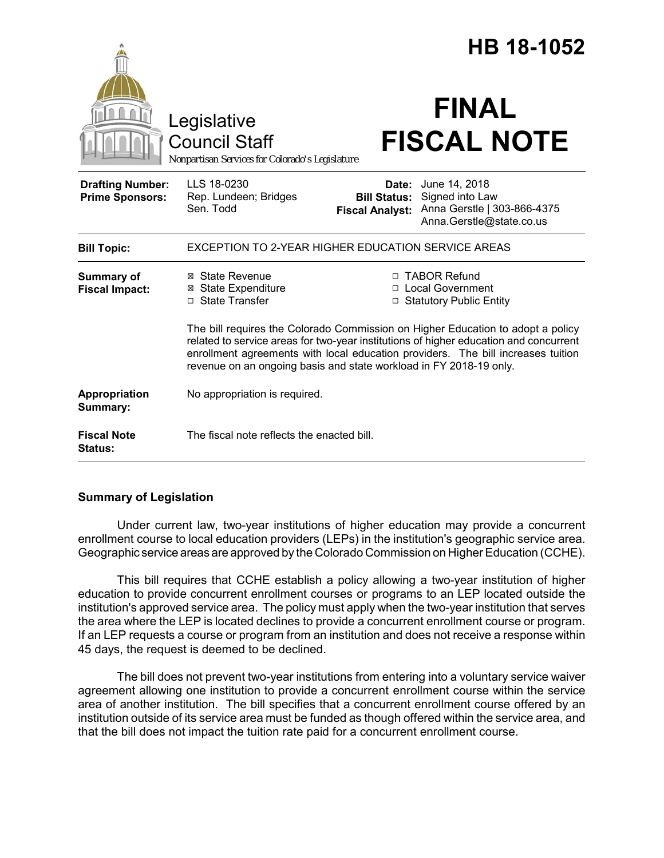|                                                   |                                                                                                                                                                                                                                                                                                                                    |                                                        | HB 18-1052                                                                                  |  |
|---------------------------------------------------|------------------------------------------------------------------------------------------------------------------------------------------------------------------------------------------------------------------------------------------------------------------------------------------------------------------------------------|--------------------------------------------------------|---------------------------------------------------------------------------------------------|--|
|                                                   | Legislative<br><b>Council Staff</b><br>Nonpartisan Services for Colorado's Legislature                                                                                                                                                                                                                                             |                                                        | <b>FINAL</b><br><b>FISCAL NOTE</b>                                                          |  |
| <b>Drafting Number:</b><br><b>Prime Sponsors:</b> | LLS 18-0230<br>Rep. Lundeen; Bridges<br>Sen. Todd                                                                                                                                                                                                                                                                                  | Date:<br><b>Bill Status:</b><br><b>Fiscal Analyst:</b> | June 14, 2018<br>Signed into Law<br>Anna Gerstle   303-866-4375<br>Anna.Gerstle@state.co.us |  |
| <b>Bill Topic:</b>                                | <b>EXCEPTION TO 2-YEAR HIGHER EDUCATION SERVICE AREAS</b>                                                                                                                                                                                                                                                                          |                                                        |                                                                                             |  |
| <b>Summary of</b><br><b>Fiscal Impact:</b>        | ⊠ State Revenue<br><b>⊠</b> State Expenditure<br>□ State Transfer                                                                                                                                                                                                                                                                  |                                                        | □ TABOR Refund<br>□ Local Government<br>□ Statutory Public Entity                           |  |
|                                                   | The bill requires the Colorado Commission on Higher Education to adopt a policy<br>related to service areas for two-year institutions of higher education and concurrent<br>enrollment agreements with local education providers. The bill increases tuition<br>revenue on an ongoing basis and state workload in FY 2018-19 only. |                                                        |                                                                                             |  |
| Appropriation<br>Summary:                         | No appropriation is required.                                                                                                                                                                                                                                                                                                      |                                                        |                                                                                             |  |
| <b>Fiscal Note</b><br>Status:                     | The fiscal note reflects the enacted bill.                                                                                                                                                                                                                                                                                         |                                                        |                                                                                             |  |

## **Summary of Legislation**

Under current law, two-year institutions of higher education may provide a concurrent enrollment course to local education providers (LEPs) in the institution's geographic service area. Geographic service areas are approved by the Colorado Commission on Higher Education (CCHE).

This bill requires that CCHE establish a policy allowing a two-year institution of higher education to provide concurrent enrollment courses or programs to an LEP located outside the institution's approved service area. The policy must apply when the two-year institution that serves the area where the LEP is located declines to provide a concurrent enrollment course or program. If an LEP requests a course or program from an institution and does not receive a response within 45 days, the request is deemed to be declined.

The bill does not prevent two-year institutions from entering into a voluntary service waiver agreement allowing one institution to provide a concurrent enrollment course within the service area of another institution. The bill specifies that a concurrent enrollment course offered by an institution outside of its service area must be funded as though offered within the service area, and that the bill does not impact the tuition rate paid for a concurrent enrollment course.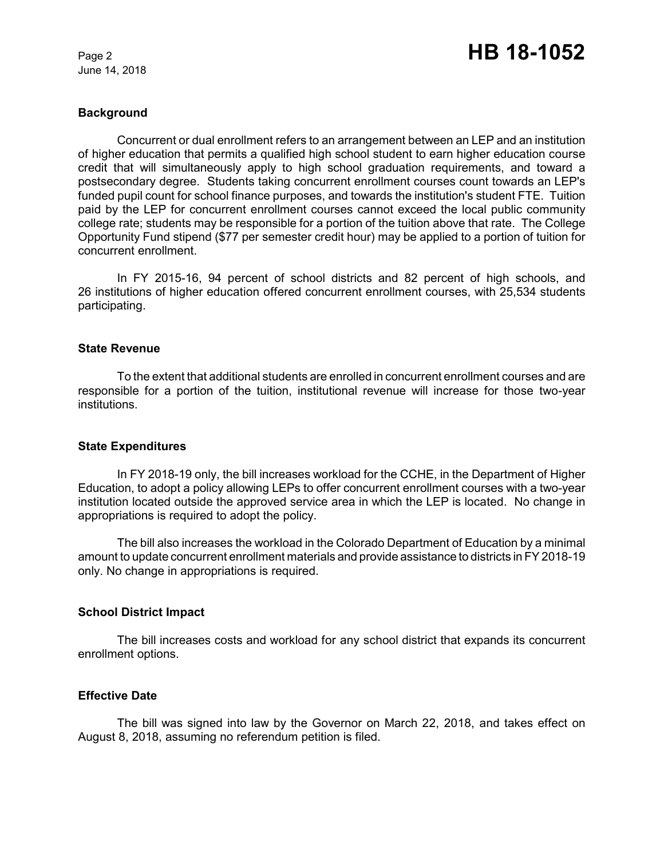June 14, 2018

### **Background**

Concurrent or dual enrollment refers to an arrangement between an LEP and an institution of higher education that permits a qualified high school student to earn higher education course credit that will simultaneously apply to high school graduation requirements, and toward a postsecondary degree. Students taking concurrent enrollment courses count towards an LEP's funded pupil count for school finance purposes, and towards the institution's student FTE. Tuition paid by the LEP for concurrent enrollment courses cannot exceed the local public community college rate; students may be responsible for a portion of the tuition above that rate. The College Opportunity Fund stipend (\$77 per semester credit hour) may be applied to a portion of tuition for concurrent enrollment.

In FY 2015-16, 94 percent of school districts and 82 percent of high schools, and 26 institutions of higher education offered concurrent enrollment courses, with 25,534 students participating.

# **State Revenue**

To the extent that additional students are enrolled in concurrent enrollment courses and are responsible for a portion of the tuition, institutional revenue will increase for those two-year institutions.

#### **State Expenditures**

In FY 2018-19 only, the bill increases workload for the CCHE, in the Department of Higher Education, to adopt a policy allowing LEPs to offer concurrent enrollment courses with a two-year institution located outside the approved service area in which the LEP is located. No change in appropriations is required to adopt the policy.

The bill also increases the workload in the Colorado Department of Education by a minimal amount to update concurrent enrollment materials and provide assistance to districts in FY 2018-19 only. No change in appropriations is required.

## **School District Impact**

The bill increases costs and workload for any school district that expands its concurrent enrollment options.

## **Effective Date**

The bill was signed into law by the Governor on March 22, 2018, and takes effect on August 8, 2018, assuming no referendum petition is filed.